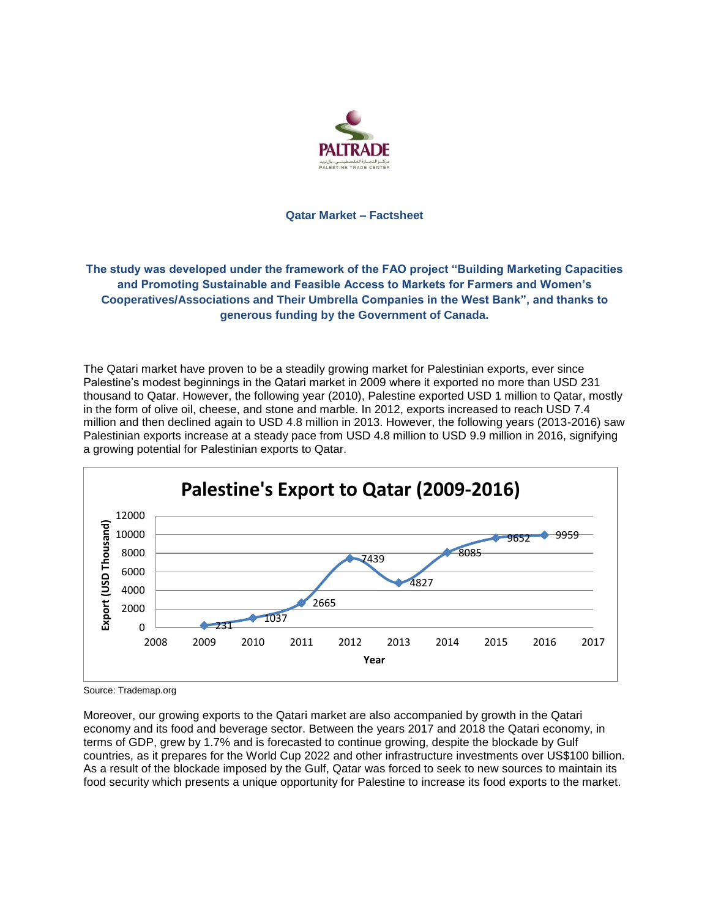

### **Qatar Market – Factsheet**

# **The study was developed under the framework of the FAO project "Building Marketing Capacities and Promoting Sustainable and Feasible Access to Markets for Farmers and Women's Cooperatives/Associations and Their Umbrella Companies in the West Bank", and thanks to generous funding by the Government of Canada.**

The Qatari market have proven to be a steadily growing market for Palestinian exports, ever since Palestine's modest beginnings in the Qatari market in 2009 where it exported no more than USD 231 thousand to Qatar. However, the following year (2010), Palestine exported USD 1 million to Qatar, mostly in the form of olive oil, cheese, and stone and marble. In 2012, exports increased to reach USD 7.4 million and then declined again to USD 4.8 million in 2013. However, the following years (2013-2016) saw Palestinian exports increase at a steady pace from USD 4.8 million to USD 9.9 million in 2016, signifying a growing potential for Palestinian exports to Qatar.



Source: Trademap.org

Moreover, our growing exports to the Qatari market are also accompanied by growth in the Qatari economy and its food and beverage sector. Between the years 2017 and 2018 the Qatari economy, in terms of GDP, grew by 1.7% and is forecasted to continue growing, despite the blockade by Gulf countries, as it prepares for the World Cup 2022 and other infrastructure investments over US\$100 billion. As a result of the blockade imposed by the Gulf, Qatar was forced to seek to new sources to maintain its food security which presents a unique opportunity for Palestine to increase its food exports to the market.